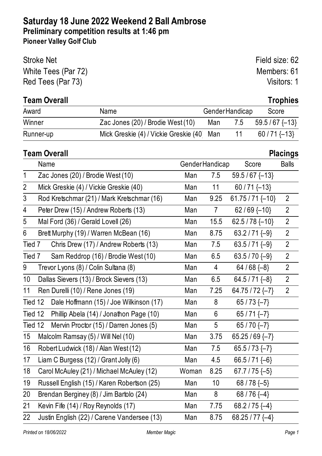| <b>Stroke Net</b>   | Field size: 62 |
|---------------------|----------------|
| White Tees (Par 72) | Members: 61    |
| Red Tees (Par 73)   | Visitors: 1    |

# **Team Overall Trophies**

| Award     | Name                                      | <b>GenderHandicap</b>     | Score         |
|-----------|-------------------------------------------|---------------------------|---------------|
| Winner    | Zac Jones (20) / Brodie West (10)         | Man 7.5 59.5/67 $\{-13\}$ |               |
| Runner-up | Mick Greskie (4) / Vickie Greskie (40 Man |                           | $60/71$ {-13} |

# **Team Overall Placings**

|                | Name                                                   | Gender Handicap |                  | Score               | <b>Balls</b>   |
|----------------|--------------------------------------------------------|-----------------|------------------|---------------------|----------------|
| $\mathbf{1}$   | Zac Jones (20) / Brodie West (10)                      | Man             | 7.5              | $59.5/67$ {-13}     |                |
| $\overline{2}$ | Mick Greskie (4) / Vickie Greskie (40)                 | Man             | 11               | $60/71$ {-13}       |                |
| 3              | Rod Kretschmar (21) / Mark Kretschmar (16)             | Man             | 9.25             | $61.75 / 71$ {-10}  | $\overline{2}$ |
| 4              | Peter Drew (15) / Andrew Roberts (13)                  | Man             | $7\overline{ }$  | $62/69$ {-10}       | $\overline{2}$ |
| 5              | Mal Ford (36) / Gerald Lovell (26)                     | Man             | 15.5             | 62.5 / 78 $\{-10\}$ | $\overline{2}$ |
| 6              | Brett Murphy (19) / Warren McBean (16)                 | Man             | 8.75             | 63.2/71 $\{-9\}$    | $\overline{2}$ |
| Tied 7         | Chris Drew (17) / Andrew Roberts (13)                  | Man             | 7.5              | 63.5/71 $\{-9\}$    | $\overline{2}$ |
| Tied 7         | Sam Reddrop (16) / Brodie West (10)                    | Man             | 6.5              | 63.5/70 $\{-9\}$    | $\overline{2}$ |
| 9              | Trevor Lyons (8) / Colin Sultana (8)                   | Man             | 4                | 64/68 $\{-8\}$      | $\overline{2}$ |
| 10             | 6.5<br>Dallas Sievers (13) / Brock Sievers (13)<br>Man |                 | 64.5/71 $\{-8\}$ | $\overline{2}$      |                |
| 11             | Ren Durelli (10) / Rene Jones (19)                     | Man             | 7.25             | 64.75 / 72 $\{-7\}$ | $\overline{2}$ |
| Tied 12        | Dale Hoffmann (15) / Joe Wilkinson (17)                | Man             | 8                | $65/73$ {-7}        |                |
| Tied 12        | Phillip Abela (14) / Jonathon Page (10)                | Man             | 6                | $65/71$ $\{-7\}$    |                |
| Tied 12        | Mervin Proctor (15) / Darren Jones (5)                 | Man             | 5                | 65/70 $\{-7\}$      |                |
| 15             | Malcolm Ramsay (5) / Will Nel (10)                     | Man             | 3.75             | 65.25 / 69 $\{-7\}$ |                |
| 16             | Robert Ludwick (18) / Alan West (12)                   | Man             | 7.5              | 65.5/73 $\{-7\}$    |                |
| 17             | Liam C Burgess (12) / Grant Jolly (6)                  | Man             | 4.5              | 66.5/71 $\{-6\}$    |                |
| 18             | Carol McAuley (21) / Michael McAuley (12)              | Woman           | 8.25             | 67.7 / 75 $\{-5\}$  |                |
| 19             | Russell English (15) / Karen Robertson (25)            | Man             | 10 <sup>1</sup>  | 68 / 78 $\{-5\}$    |                |
| 20             | Brendan Berginey (8) / Jim Bartolo (24)                |                 | 8                | 68/76 $\{-4\}$      |                |
| 21             | Kevin Fife (14) / Roy Reynolds (17)                    | Man             | 7.75             | 68.2/75 $\{-4\}$    |                |
| 22             | Justin English (22) / Carene Vandersee (13)            | Man             | 8.75             | 68.25 / 77 $\{-4\}$ |                |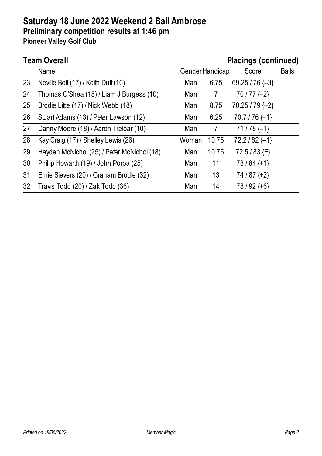# **Team Overall Placings (continued)**

|                 | Name                                       |       | <b>GenderHandicap</b> | Score               | <b>Balls</b> |
|-----------------|--------------------------------------------|-------|-----------------------|---------------------|--------------|
| 23              | Neville Bell (17) / Keith Duff (10)        | Man   | 6.75                  | 69.25 / 76 $\{-3\}$ |              |
| 24              | Thomas O'Shea (18) / Liam J Burgess (10)   | Man   | 7                     | $70/77$ {-2}        |              |
| 25              | Brodie Little (17) / Nick Webb (18)        | Man   | 8.75                  | $70.25 / 79$ {-2}   |              |
| 26              | Stuart Adams (13) / Peter Lawson (12)      | Man   | 6.25                  | $70.7 / 76$ {-1}    |              |
| 27              | Danny Moore (18) / Aaron Treloar (10)      | Man   | 7                     | $71/78$ {-1}        |              |
| 28              | Kay Craig (17) / Shelley Lewis (26)        | Woman | 10.75                 | $72.2 / 82$ {-1}    |              |
| 29              | Hayden McNichol (25) / Peter McNichol (18) | Man   | 10.75                 | 72.5/83 {E}         |              |
| 30              | Phillip Howarth (19) / John Poroa (25)     | Man   | 11                    | $73/84$ {+1}        |              |
| 31              | Ernie Sievers (20) / Graham Brodie (32)    | Man   | 13                    | $74/87+2$           |              |
| 32 <sup>2</sup> | Travis Todd (20) / Zak Todd (36)           | Man   | 14                    | $78/92$ {+6}        |              |
|                 |                                            |       |                       |                     |              |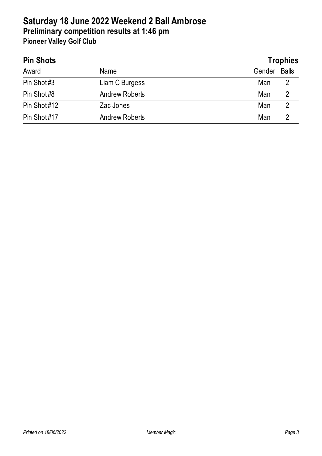| <b>Pin Shots</b> |                       | <b>Trophies</b> |
|------------------|-----------------------|-----------------|
| Award            | Name                  | Balls<br>Gender |
| Pin Shot#3       | Liam C Burgess        | Man<br>2        |
| Pin Shot#8       | <b>Andrew Roberts</b> | Man             |
| Pin Shot#12      | Zac Jones             | Man             |
| Pin Shot#17      | <b>Andrew Roberts</b> | Man             |